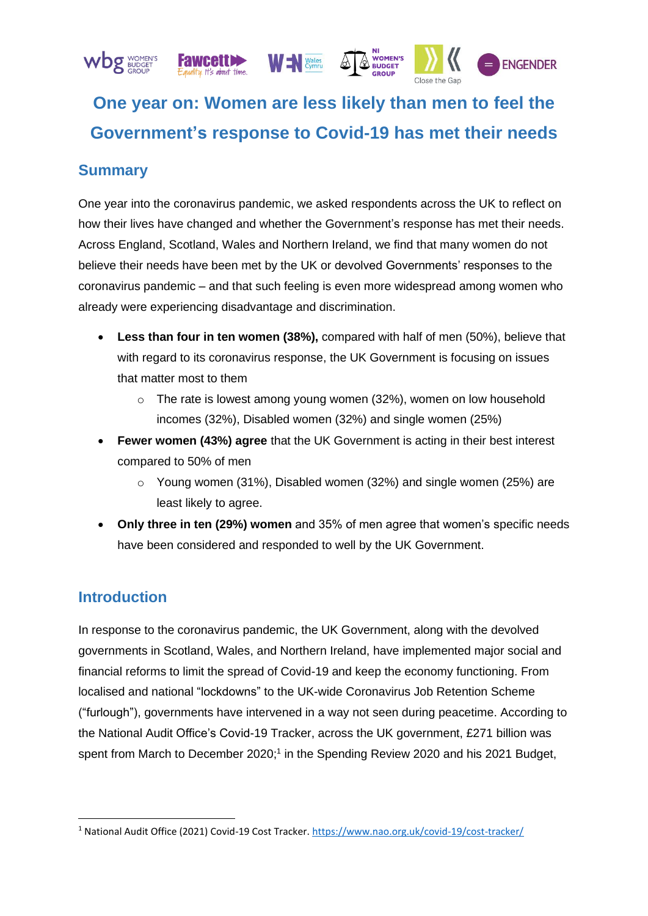

# **One year on: Women are less likely than men to feel the Government's response to Covid-19 has met their needs**

# **Summary**

One year into the coronavirus pandemic, we asked respondents across the UK to reflect on how their lives have changed and whether the Government's response has met their needs. Across England, Scotland, Wales and Northern Ireland, we find that many women do not believe their needs have been met by the UK or devolved Governments' responses to the coronavirus pandemic – and that such feeling is even more widespread among women who already were experiencing disadvantage and discrimination.

- **Less than four in ten women (38%),** compared with half of men (50%), believe that with regard to its coronavirus response, the UK Government is focusing on issues that matter most to them
	- $\circ$  The rate is lowest among young women (32%), women on low household incomes (32%), Disabled women (32%) and single women (25%)
- **Fewer women (43%) agree** that the UK Government is acting in their best interest compared to 50% of men
	- $\circ$  Young women (31%), Disabled women (32%) and single women (25%) are least likely to agree.
- **Only three in ten (29%) women** and 35% of men agree that women's specific needs have been considered and responded to well by the UK Government.

# **Introduction**

In response to the coronavirus pandemic, the UK Government, along with the devolved governments in Scotland, Wales, and Northern Ireland, have implemented major social and financial reforms to limit the spread of Covid-19 and keep the economy functioning. From localised and national "lockdowns" to the UK-wide Coronavirus Job Retention Scheme ("furlough"), governments have intervened in a way not seen during peacetime. According to the National Audit Office's Covid-19 Tracker, across the UK government, £271 billion was spent from March to December 2020;<sup>1</sup> in the Spending Review 2020 and his 2021 Budget,

<sup>1</sup> National Audit Office (2021) Covid-19 Cost Tracker.<https://www.nao.org.uk/covid-19/cost-tracker/>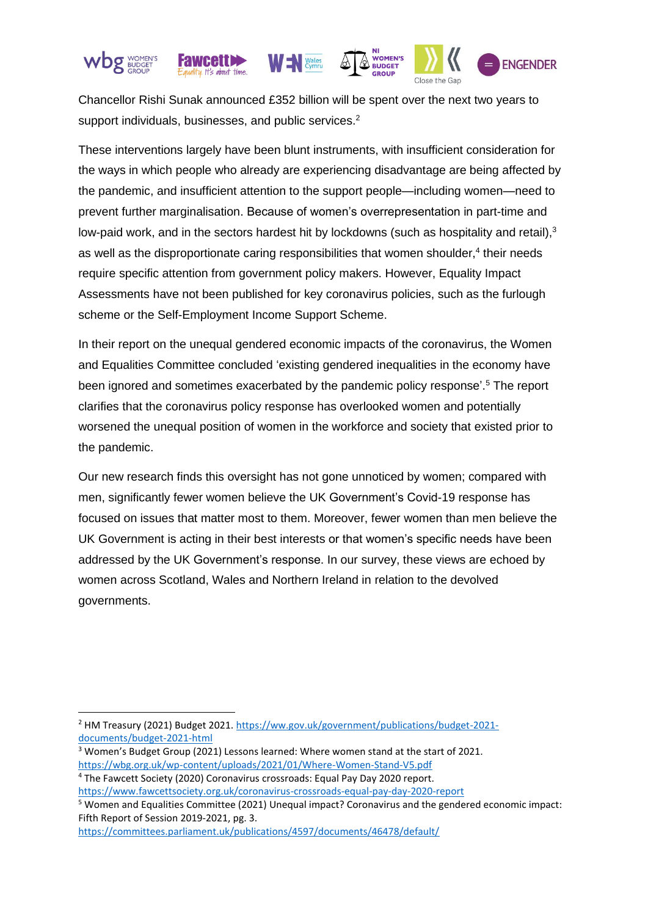

Chancellor Rishi Sunak announced £352 billion will be spent over the next two years to support individuals, businesses, and public services.<sup>2</sup>

These interventions largely have been blunt instruments, with insufficient consideration for the ways in which people who already are experiencing disadvantage are being affected by the pandemic, and insufficient attention to the support people—including women—need to prevent further marginalisation. Because of women's overrepresentation in part-time and low-paid work, and in the sectors hardest hit by lockdowns (such as hospitality and retail),<sup>3</sup> as well as the disproportionate caring responsibilities that women shoulder,<sup>4</sup> their needs require specific attention from government policy makers. However, Equality Impact Assessments have not been published for key coronavirus policies, such as the furlough scheme or the Self-Employment Income Support Scheme.

In their report on the unequal gendered economic impacts of the coronavirus, the Women and Equalities Committee concluded 'existing gendered inequalities in the economy have been ignored and sometimes exacerbated by the pandemic policy response'. <sup>5</sup> The report clarifies that the coronavirus policy response has overlooked women and potentially worsened the unequal position of women in the workforce and society that existed prior to the pandemic.

Our new research finds this oversight has not gone unnoticed by women; compared with men, significantly fewer women believe the UK Government's Covid-19 response has focused on issues that matter most to them. Moreover, fewer women than men believe the UK Government is acting in their best interests or that women's specific needs have been addressed by the UK Government's response. In our survey, these views are echoed by women across Scotland, Wales and Northern Ireland in relation to the devolved governments.

<sup>2</sup> HM Treasury (2021) Budget 2021. [https://ww.gov.uk/government/publications/budget-2021](https://ww.gov.uk/government/publications/budget-2021-documents/budget-2021-html) [documents/budget-2021-html](https://ww.gov.uk/government/publications/budget-2021-documents/budget-2021-html)

<sup>&</sup>lt;sup>3</sup> Women's Budget Group (2021) Lessons learned: Where women stand at the start of 2021. <https://wbg.org.uk/wp-content/uploads/2021/01/Where-Women-Stand-V5.pdf>

<sup>4</sup> The Fawcett Society (2020) Coronavirus crossroads: Equal Pay Day 2020 report.

<https://www.fawcettsociety.org.uk/coronavirus-crossroads-equal-pay-day-2020-report>

<sup>5</sup> Women and Equalities Committee (2021) Unequal impact? Coronavirus and the gendered economic impact: Fifth Report of Session 2019-2021, pg. 3.

<https://committees.parliament.uk/publications/4597/documents/46478/default/>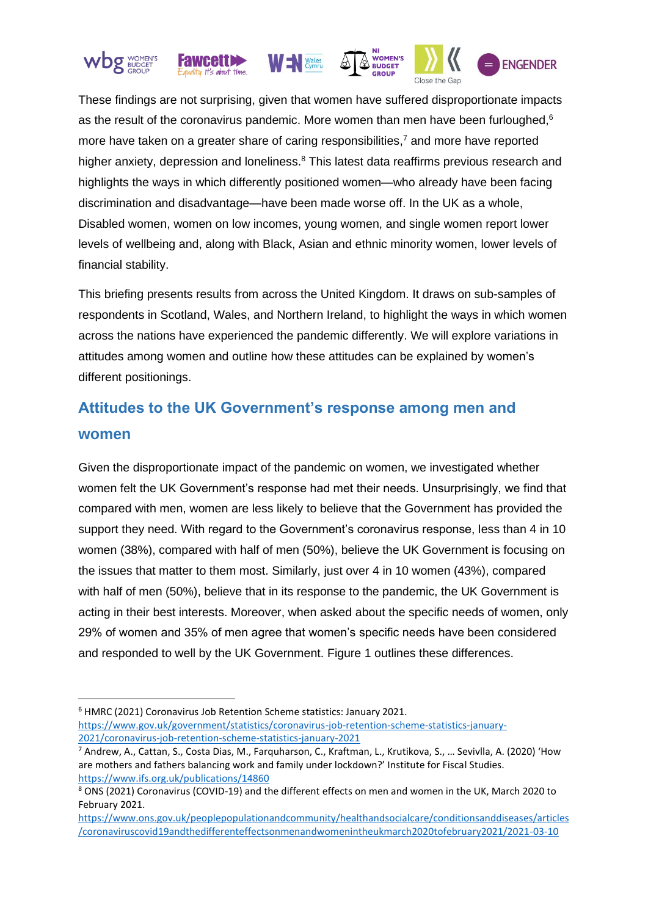





Close the Gap



These findings are not surprising, given that women have suffered disproportionate impacts as the result of the coronavirus pandemic. More women than men have been furloughed,<sup>6</sup> more have taken on a greater share of caring responsibilities,<sup>7</sup> and more have reported higher anxiety, depression and loneliness.<sup>8</sup> This latest data reaffirms previous research and highlights the ways in which differently positioned women—who already have been facing discrimination and disadvantage—have been made worse off. In the UK as a whole, Disabled women, women on low incomes, young women, and single women report lower levels of wellbeing and, along with Black, Asian and ethnic minority women, lower levels of financial stability.

This briefing presents results from across the United Kingdom. It draws on sub-samples of respondents in Scotland, Wales, and Northern Ireland, to highlight the ways in which women across the nations have experienced the pandemic differently. We will explore variations in attitudes among women and outline how these attitudes can be explained by women's different positionings.

# **Attitudes to the UK Government's response among men and women**

Given the disproportionate impact of the pandemic on women, we investigated whether women felt the UK Government's response had met their needs. Unsurprisingly, we find that compared with men, women are less likely to believe that the Government has provided the support they need. With regard to the Government's coronavirus response, less than 4 in 10 women (38%), compared with half of men (50%), believe the UK Government is focusing on the issues that matter to them most. Similarly, just over 4 in 10 women (43%), compared with half of men (50%), believe that in its response to the pandemic, the UK Government is acting in their best interests. Moreover, when asked about the specific needs of women, only 29% of women and 35% of men agree that women's specific needs have been considered and responded to well by the UK Government. Figure 1 outlines these differences.

<sup>6</sup> HMRC (2021) Coronavirus Job Retention Scheme statistics: January 2021. [https://www.gov.uk/government/statistics/coronavirus-job-retention-scheme-statistics-january-](https://www.gov.uk/government/statistics/coronavirus-job-retention-scheme-statistics-january-2021/coronavirus-job-retention-scheme-statistics-january-2021)[2021/coronavirus-job-retention-scheme-statistics-january-2021](https://www.gov.uk/government/statistics/coronavirus-job-retention-scheme-statistics-january-2021/coronavirus-job-retention-scheme-statistics-january-2021)

<sup>&</sup>lt;sup>7</sup> Andrew, A., Cattan, S., Costa Dias, M., Farquharson, C., Kraftman, L., Krutikova, S., ... Sevivlla, A. (2020) 'How are mothers and fathers balancing work and family under lockdown?' Institute for Fiscal Studies. <https://www.ifs.org.uk/publications/14860>

<sup>8</sup> ONS (2021) Coronavirus (COVID-19) and the different effects on men and women in the UK, March 2020 to February 2021.

[https://www.ons.gov.uk/peoplepopulationandcommunity/healthandsocialcare/conditionsanddiseases/articles](https://www.ons.gov.uk/peoplepopulationandcommunity/healthandsocialcare/conditionsanddiseases/articles/coronaviruscovid19andthedifferenteffectsonmenandwomenintheukmarch2020tofebruary2021/2021-03-10) [/coronaviruscovid19andthedifferenteffectsonmenandwomenintheukmarch2020tofebruary2021/2021-03-10](https://www.ons.gov.uk/peoplepopulationandcommunity/healthandsocialcare/conditionsanddiseases/articles/coronaviruscovid19andthedifferenteffectsonmenandwomenintheukmarch2020tofebruary2021/2021-03-10)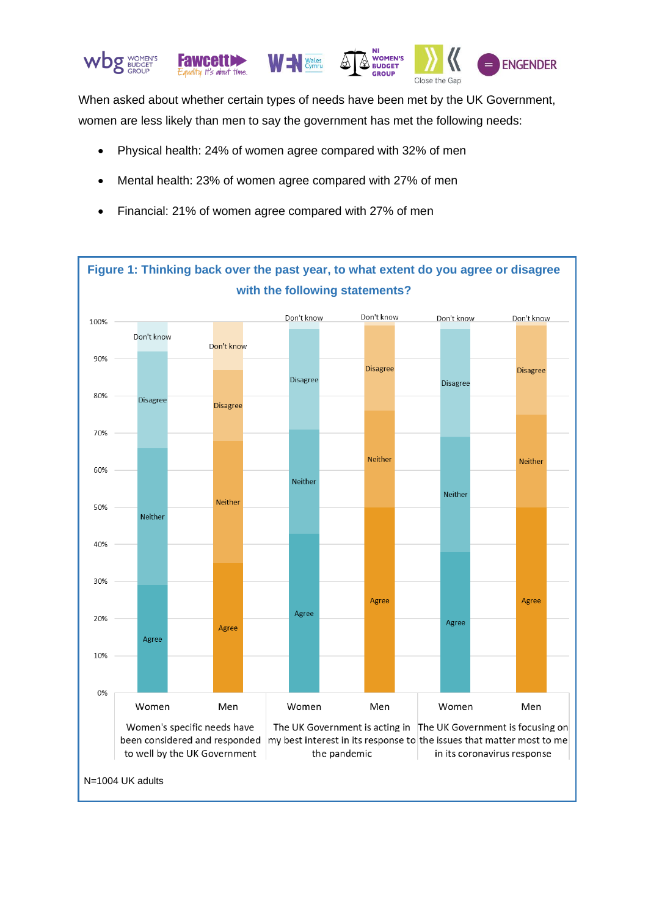

When asked about whether certain types of needs have been met by the UK Government, women are less likely than men to say the government has met the following needs:

- Physical health: 24% of women agree compared with 32% of men
- Mental health: 23% of women agree compared with 27% of men
- Financial: 21% of women agree compared with 27% of men

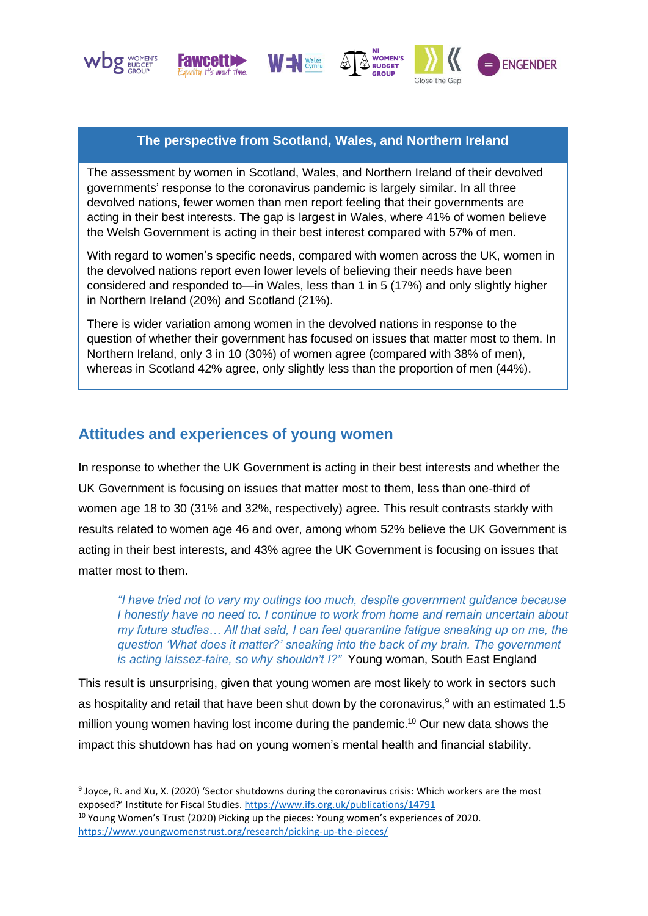







## **The perspective from Scotland, Wales, and Northern Ireland**

The assessment by women in Scotland, Wales, and Northern Ireland of their devolved governments' response to the coronavirus pandemic is largely similar. In all three devolved nations, fewer women than men report feeling that their governments are acting in their best interests. The gap is largest in Wales, where 41% of women believe the Welsh Government is acting in their best interest compared with 57% of men.

With regard to women's specific needs, compared with women across the UK, women in the devolved nations report even lower levels of believing their needs have been considered and responded to—in Wales, less than 1 in 5 (17%) and only slightly higher in Northern Ireland (20%) and Scotland (21%).

There is wider variation among women in the devolved nations in response to the question of whether their government has focused on issues that matter most to them. In Northern Ireland, only 3 in 10 (30%) of women agree (compared with 38% of men), whereas in Scotland 42% agree, only slightly less than the proportion of men (44%).

# **Attitudes and experiences of young women**

In response to whether the UK Government is acting in their best interests and whether the UK Government is focusing on issues that matter most to them, less than one-third of women age 18 to 30 (31% and 32%, respectively) agree. This result contrasts starkly with results related to women age 46 and over, among whom 52% believe the UK Government is acting in their best interests, and 43% agree the UK Government is focusing on issues that matter most to them.

*"I have tried not to vary my outings too much, despite government guidance because I honestly have no need to. I continue to work from home and remain uncertain about my future studies… All that said, I can feel quarantine fatigue sneaking up on me, the question 'What does it matter?' sneaking into the back of my brain. The government is acting laissez-faire, so why shouldn't I?"* Young woman, South East England

This result is unsurprising, given that young women are most likely to work in sectors such as hospitality and retail that have been shut down by the coronavirus,<sup>9</sup> with an estimated 1.5 million young women having lost income during the pandemic. <sup>10</sup> Our new data shows the impact this shutdown has had on young women's mental health and financial stability.

<sup>&</sup>lt;sup>9</sup> Joyce, R. and Xu, X. (2020) 'Sector shutdowns during the coronavirus crisis: Which workers are the most exposed?' Institute for Fiscal Studies[. https://www.ifs.org.uk/publications/14791](https://www.ifs.org.uk/publications/14791)

<sup>&</sup>lt;sup>10</sup> Young Women's Trust (2020) Picking up the pieces: Young women's experiences of 2020. <https://www.youngwomenstrust.org/research/picking-up-the-pieces/>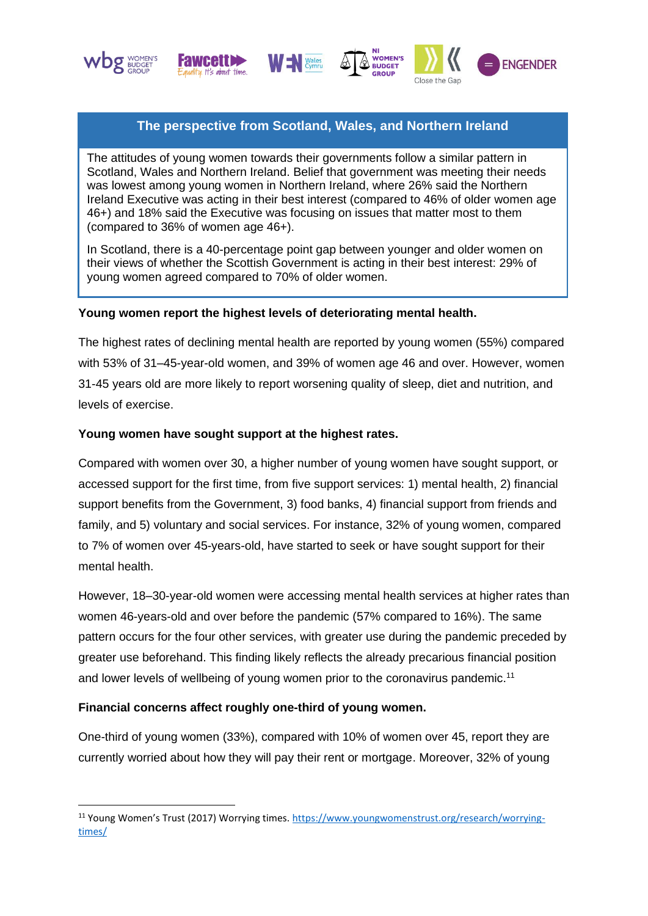





. . .<br>WOMEN'!



## **The perspective from Scotland, Wales, and Northern Ireland**

The attitudes of young women towards their governments follow a similar pattern in Scotland, Wales and Northern Ireland. Belief that government was meeting their needs was lowest among young women in Northern Ireland, where 26% said the Northern Ireland Executive was acting in their best interest (compared to 46% of older women age 46+) and 18% said the Executive was focusing on issues that matter most to them (compared to 36% of women age 46+).

In Scotland, there is a 40-percentage point gap between younger and older women on their views of whether the Scottish Government is acting in their best interest: 29% of young women agreed compared to 70% of older women.

#### **Young women report the highest levels of deteriorating mental health.**

The highest rates of declining mental health are reported by young women (55%) compared with 53% of 31–45-year-old women, and 39% of women age 46 and over. However, women 31-45 years old are more likely to report worsening quality of sleep, diet and nutrition, and levels of exercise.

#### **Young women have sought support at the highest rates.**

Compared with women over 30, a higher number of young women have sought support, or accessed support for the first time, from five support services: 1) mental health, 2) financial support benefits from the Government, 3) food banks, 4) financial support from friends and family, and 5) voluntary and social services. For instance, 32% of young women, compared to 7% of women over 45-years-old, have started to seek or have sought support for their mental health.

However, 18–30-year-old women were accessing mental health services at higher rates than women 46-years-old and over before the pandemic (57% compared to 16%). The same pattern occurs for the four other services, with greater use during the pandemic preceded by greater use beforehand. This finding likely reflects the already precarious financial position and lower levels of wellbeing of young women prior to the coronavirus pandemic.<sup>11</sup>

### **Financial concerns affect roughly one-third of young women.**

One-third of young women (33%), compared with 10% of women over 45, report they are currently worried about how they will pay their rent or mortgage. Moreover, 32% of young

<sup>11</sup> Young Women's Trust (2017) Worrying times[. https://www.youngwomenstrust.org/research/worrying](https://www.youngwomenstrust.org/research/worrying-times/)[times/](https://www.youngwomenstrust.org/research/worrying-times/)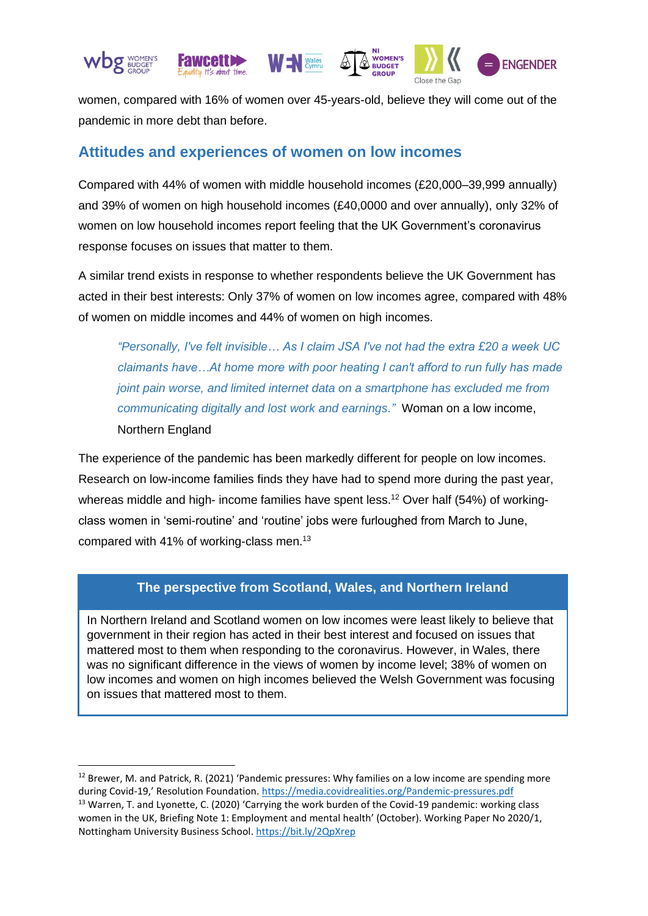

women, compared with 16% of women over 45-years-old, believe they will come out of the pandemic in more debt than before.

## **Attitudes and experiences of women on low incomes**

Compared with 44% of women with middle household incomes (£20,000–39,999 annually) and 39% of women on high household incomes (£40,0000 and over annually), only 32% of women on low household incomes report feeling that the UK Government's coronavirus response focuses on issues that matter to them.

A similar trend exists in response to whether respondents believe the UK Government has acted in their best interests: Only 37% of women on low incomes agree, compared with 48% of women on middle incomes and 44% of women on high incomes.

*"Personally, I've felt invisible… As I claim JSA I've not had the extra £20 a week UC claimants have…At home more with poor heating I can't afford to run fully has made joint pain worse, and limited internet data on a smartphone has excluded me from communicating digitally and lost work and earnings."* Woman on a low income, Northern England

The experience of the pandemic has been markedly different for people on low incomes. Research on low-income families finds they have had to spend more during the past year, whereas middle and high- income families have spent less.<sup>12</sup> Over half (54%) of workingclass women in 'semi-routine' and 'routine' jobs were furloughed from March to June, compared with 41% of working-class men.<sup>13</sup>

### **The perspective from Scotland, Wales, and Northern Ireland**

In Northern Ireland and Scotland women on low incomes were least likely to believe that government in their region has acted in their best interest and focused on issues that mattered most to them when responding to the coronavirus. However, in Wales, there was no significant difference in the views of women by income level; 38% of women on low incomes and women on high incomes believed the Welsh Government was focusing on issues that mattered most to them.

<sup>&</sup>lt;sup>12</sup> Brewer, M. and Patrick, R. (2021) 'Pandemic pressures: Why families on a low income are spending more during Covid-19,' Resolution Foundation. <https://media.covidrealities.org/Pandemic-pressures.pdf>

<sup>&</sup>lt;sup>13</sup> Warren, T. and Lyonette, C. (2020) 'Carrying the work burden of the Covid-19 pandemic: working class women in the UK, Briefing Note 1: Employment and mental health' (October). Working Paper No 2020/1, Nottingham University Business School. <https://bit.ly/2QpXrep>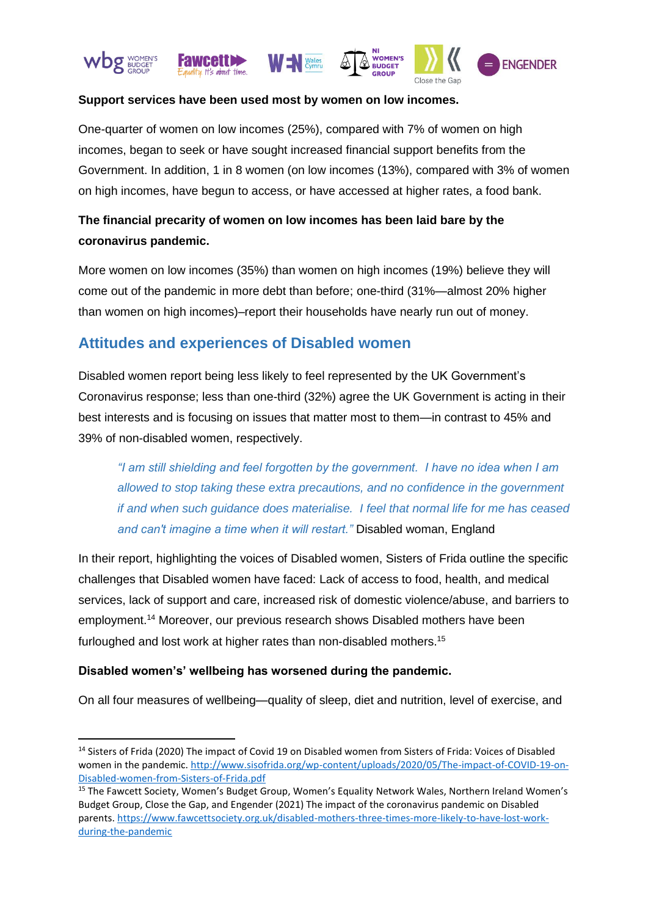





Close the Gap



#### **Support services have been used most by women on low incomes.**

One-quarter of women on low incomes (25%), compared with 7% of women on high incomes, began to seek or have sought increased financial support benefits from the Government. In addition, 1 in 8 women (on low incomes (13%), compared with 3% of women on high incomes, have begun to access, or have accessed at higher rates, a food bank.

## **The financial precarity of women on low incomes has been laid bare by the coronavirus pandemic.**

More women on low incomes (35%) than women on high incomes (19%) believe they will come out of the pandemic in more debt than before; one-third (31%—almost 20% higher than women on high incomes)–report their households have nearly run out of money.

# **Attitudes and experiences of Disabled women**

Disabled women report being less likely to feel represented by the UK Government's Coronavirus response; less than one-third (32%) agree the UK Government is acting in their best interests and is focusing on issues that matter most to them—in contrast to 45% and 39% of non-disabled women, respectively.

*"I am still shielding and feel forgotten by the government. I have no idea when I am allowed to stop taking these extra precautions, and no confidence in the government if and when such guidance does materialise. I feel that normal life for me has ceased and can't imagine a time when it will restart."* Disabled woman, England

In their report, highlighting the voices of Disabled women, Sisters of Frida outline the specific challenges that Disabled women have faced: Lack of access to food, health, and medical services, lack of support and care, increased risk of domestic violence/abuse, and barriers to employment.<sup>14</sup> Moreover, our previous research shows Disabled mothers have been furloughed and lost work at higher rates than non-disabled mothers.<sup>15</sup>

### **Disabled women's' wellbeing has worsened during the pandemic.**

On all four measures of wellbeing—quality of sleep, diet and nutrition, level of exercise, and

<sup>&</sup>lt;sup>14</sup> Sisters of Frida (2020) The impact of Covid 19 on Disabled women from Sisters of Frida: Voices of Disabled women in the pandemic. [http://www.sisofrida.org/wp-content/uploads/2020/05/The-impact-of-COVID-19-on-](http://www.sisofrida.org/wp-content/uploads/2020/05/The-impact-of-COVID-19-on-Disabled-women-from-Sisters-of-Frida.pdf)[Disabled-women-from-Sisters-of-Frida.pdf](http://www.sisofrida.org/wp-content/uploads/2020/05/The-impact-of-COVID-19-on-Disabled-women-from-Sisters-of-Frida.pdf)

<sup>&</sup>lt;sup>15</sup> The Fawcett Society, Women's Budget Group, Women's Equality Network Wales, Northern Ireland Women's Budget Group, Close the Gap, and Engender (2021) The impact of the coronavirus pandemic on Disabled parents. [https://www.fawcettsociety.org.uk/disabled-mothers-three-times-more-likely-to-have-lost-work](https://www.fawcettsociety.org.uk/disabled-mothers-three-times-more-likely-to-have-lost-work-during-the-pandemic)[during-the-pandemic](https://www.fawcettsociety.org.uk/disabled-mothers-three-times-more-likely-to-have-lost-work-during-the-pandemic)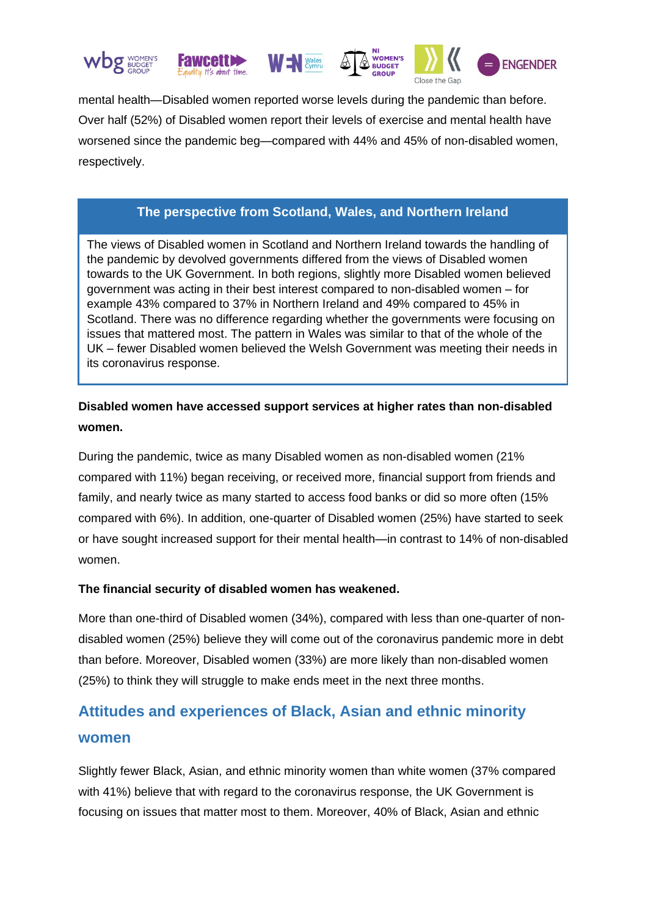







Close the Gap

mental health—Disabled women reported worse levels during the pandemic than before. Over half (52%) of Disabled women report their levels of exercise and mental health have worsened since the pandemic beg—compared with 44% and 45% of non-disabled women, respectively.

## **The perspective from Scotland, Wales, and Northern Ireland**

The views of Disabled women in Scotland and Northern Ireland towards the handling of the pandemic by devolved governments differed from the views of Disabled women towards to the UK Government. In both regions, slightly more Disabled women believed government was acting in their best interest compared to non-disabled women – for example 43% compared to 37% in Northern Ireland and 49% compared to 45% in Scotland. There was no difference regarding whether the governments were focusing on issues that mattered most. The pattern in Wales was similar to that of the whole of the UK – fewer Disabled women believed the Welsh Government was meeting their needs in its coronavirus response.

## **Disabled women have accessed support services at higher rates than non-disabled women.**

During the pandemic, twice as many Disabled women as non-disabled women (21% compared with 11%) began receiving, or received more, financial support from friends and family, and nearly twice as many started to access food banks or did so more often (15% compared with 6%). In addition, one-quarter of Disabled women (25%) have started to seek or have sought increased support for their mental health—in contrast to 14% of non-disabled women.

### **The financial security of disabled women has weakened.**

More than one-third of Disabled women (34%), compared with less than one-quarter of nondisabled women (25%) believe they will come out of the coronavirus pandemic more in debt than before. Moreover, Disabled women (33%) are more likely than non-disabled women (25%) to think they will struggle to make ends meet in the next three months.

# **Attitudes and experiences of Black, Asian and ethnic minority women**

Slightly fewer Black, Asian, and ethnic minority women than white women (37% compared with 41%) believe that with regard to the coronavirus response, the UK Government is focusing on issues that matter most to them. Moreover, 40% of Black, Asian and ethnic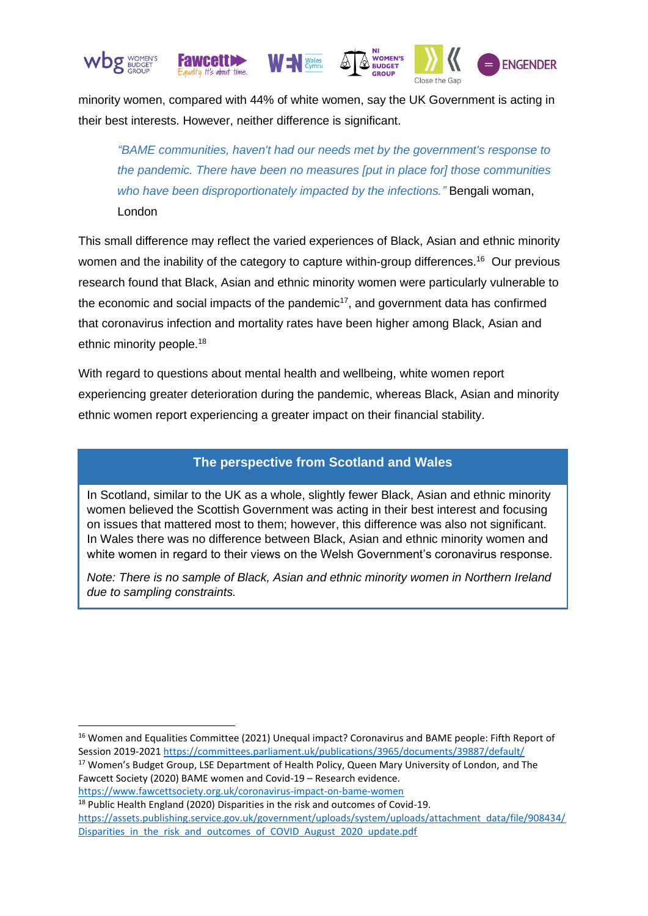

minority women, compared with 44% of white women, say the UK Government is acting in their best interests. However, neither difference is significant.

*"BAME communities, haven't had our needs met by the government's response to the pandemic. There have been no measures [put in place for] those communities who have been disproportionately impacted by the infections."* Bengali woman, London

This small difference may reflect the varied experiences of Black, Asian and ethnic minority women and the inability of the category to capture within-group differences.<sup>16</sup> Our previous research found that Black, Asian and ethnic minority women were particularly vulnerable to the economic and social impacts of the pandemic $17$ , and government data has confirmed that coronavirus infection and mortality rates have been higher among Black, Asian and ethnic minority people.<sup>18</sup>

With regard to questions about mental health and wellbeing, white women report experiencing greater deterioration during the pandemic, whereas Black, Asian and minority ethnic women report experiencing a greater impact on their financial stability.

### **The perspective from Scotland and Wales**

In Scotland, similar to the UK as a whole, slightly fewer Black, Asian and ethnic minority women believed the Scottish Government was acting in their best interest and focusing on issues that mattered most to them; however, this difference was also not significant. In Wales there was no difference between Black, Asian and ethnic minority women and white women in regard to their views on the Welsh Government's coronavirus response.

*Note: There is no sample of Black, Asian and ethnic minority women in Northern Ireland due to sampling constraints.* 

<https://www.fawcettsociety.org.uk/coronavirus-impact-on-bame-women>

<sup>&</sup>lt;sup>16</sup> Women and Equalities Committee (2021) Unequal impact? Coronavirus and BAME people: Fifth Report of Session 2019-2021<https://committees.parliament.uk/publications/3965/documents/39887/default/>

<sup>&</sup>lt;sup>17</sup> Women's Budget Group, LSE Department of Health Policy, Queen Mary University of London, and The Fawcett Society (2020) BAME women and Covid-19 – Research evidence.

<sup>&</sup>lt;sup>18</sup> Public Health England (2020) Disparities in the risk and outcomes of Covid-19. [https://assets.publishing.service.gov.uk/government/uploads/system/uploads/attachment\\_data/file/908434/](https://assets.publishing.service.gov.uk/government/uploads/system/uploads/attachment_data/file/908434/Disparities_in_the_risk_and_outcomes_of_COVID_August_2020_update.pdf) Disparities in the risk and outcomes of COVID August 2020 update.pdf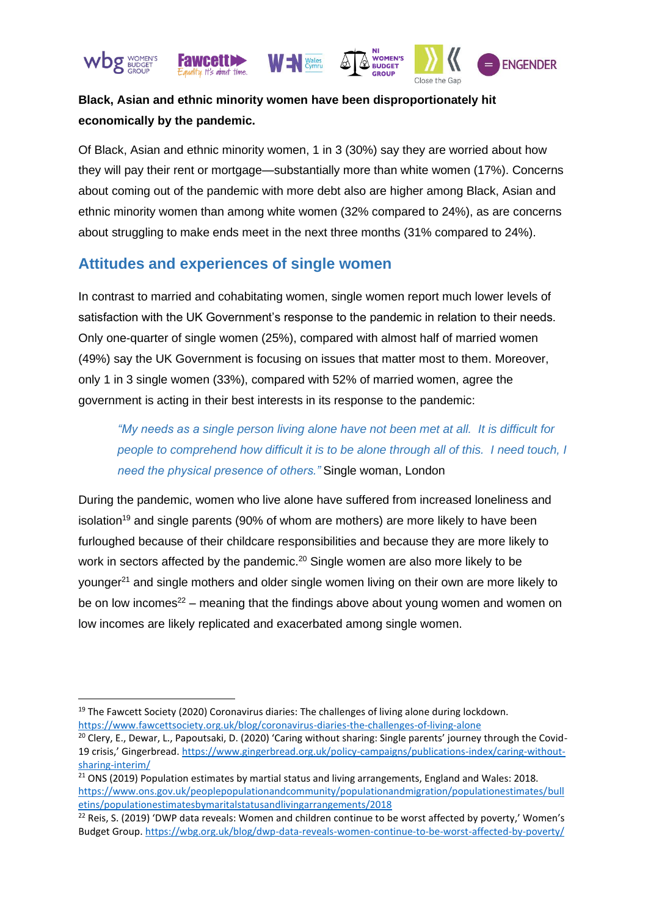

# **Black, Asian and ethnic minority women have been disproportionately hit economically by the pandemic.**

Of Black, Asian and ethnic minority women, 1 in 3 (30%) say they are worried about how they will pay their rent or mortgage—substantially more than white women (17%). Concerns about coming out of the pandemic with more debt also are higher among Black, Asian and ethnic minority women than among white women (32% compared to 24%), as are concerns about struggling to make ends meet in the next three months (31% compared to 24%).

# **Attitudes and experiences of single women**

In contrast to married and cohabitating women, single women report much lower levels of satisfaction with the UK Government's response to the pandemic in relation to their needs. Only one-quarter of single women (25%), compared with almost half of married women (49%) say the UK Government is focusing on issues that matter most to them. Moreover, only 1 in 3 single women (33%), compared with 52% of married women, agree the government is acting in their best interests in its response to the pandemic:

*"My needs as a single person living alone have not been met at all. It is difficult for people to comprehend how difficult it is to be alone through all of this. I need touch, I need the physical presence of others."* Single woman, London

During the pandemic, women who live alone have suffered from increased loneliness and isolation<sup>19</sup> and single parents (90% of whom are mothers) are more likely to have been furloughed because of their childcare responsibilities and because they are more likely to work in sectors affected by the pandemic.<sup>20</sup> Single women are also more likely to be younger<sup>21</sup> and single mothers and older single women living on their own are more likely to be on low incomes<sup>22</sup> – meaning that the findings above about young women and women on low incomes are likely replicated and exacerbated among single women.

<sup>&</sup>lt;sup>19</sup> The Fawcett Society (2020) Coronavirus diaries: The challenges of living alone during lockdown. <https://www.fawcettsociety.org.uk/blog/coronavirus-diaries-the-challenges-of-living-alone>

<sup>&</sup>lt;sup>20</sup> Clery, E., Dewar, L., Papoutsaki, D. (2020) 'Caring without sharing: Single parents' journey through the Covid-19 crisis,' Gingerbread. [https://www.gingerbread.org.uk/policy-campaigns/publications-index/caring-without](https://www.gingerbread.org.uk/policy-campaigns/publications-index/caring-without-sharing-interim/)[sharing-interim/](https://www.gingerbread.org.uk/policy-campaigns/publications-index/caring-without-sharing-interim/)

<sup>&</sup>lt;sup>21</sup> ONS (2019) Population estimates by martial status and living arrangements, England and Wales: 2018. [https://www.ons.gov.uk/peoplepopulationandcommunity/populationandmigration/populationestimates/bull](https://www.ons.gov.uk/peoplepopulationandcommunity/populationandmigration/populationestimates/bulletins/populationestimatesbymaritalstatusandlivingarrangements/2018) [etins/populationestimatesbymaritalstatusandlivingarrangements/2018](https://www.ons.gov.uk/peoplepopulationandcommunity/populationandmigration/populationestimates/bulletins/populationestimatesbymaritalstatusandlivingarrangements/2018)

 $22$  Reis, S. (2019) 'DWP data reveals: Women and children continue to be worst affected by poverty,' Women's Budget Group[. https://wbg.org.uk/blog/dwp-data-reveals-women-continue-to-be-worst-affected-by-poverty/](https://wbg.org.uk/blog/dwp-data-reveals-women-continue-to-be-worst-affected-by-poverty/)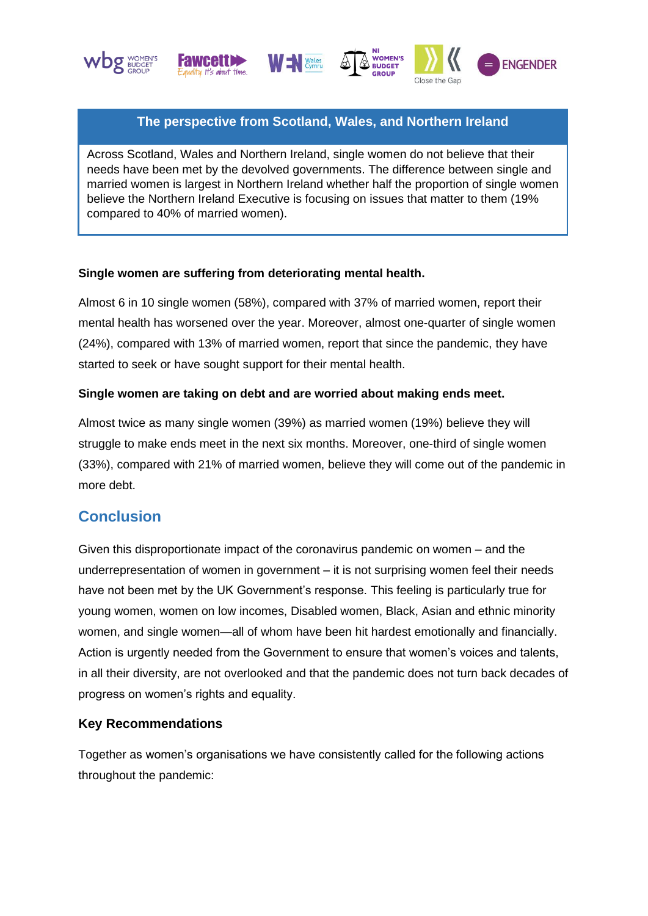







## **The perspective from Scotland, Wales, and Northern Ireland**

Across Scotland, Wales and Northern Ireland, single women do not believe that their needs have been met by the devolved governments. The difference between single and married women is largest in Northern Ireland whether half the proportion of single women believe the Northern Ireland Executive is focusing on issues that matter to them (19% compared to 40% of married women).

#### **Single women are suffering from deteriorating mental health.**

Almost 6 in 10 single women (58%), compared with 37% of married women, report their mental health has worsened over the year. Moreover, almost one-quarter of single women (24%), compared with 13% of married women, report that since the pandemic, they have started to seek or have sought support for their mental health.

#### **Single women are taking on debt and are worried about making ends meet.**

Almost twice as many single women (39%) as married women (19%) believe they will struggle to make ends meet in the next six months. Moreover, one-third of single women (33%), compared with 21% of married women, believe they will come out of the pandemic in more debt.

# **Conclusion**

Given this disproportionate impact of the coronavirus pandemic on women – and the underrepresentation of women in government – it is not surprising women feel their needs have not been met by the UK Government's response. This feeling is particularly true for young women, women on low incomes, Disabled women, Black, Asian and ethnic minority women, and single women—all of whom have been hit hardest emotionally and financially. Action is urgently needed from the Government to ensure that women's voices and talents, in all their diversity, are not overlooked and that the pandemic does not turn back decades of progress on women's rights and equality.

### **Key Recommendations**

Together as women's organisations we have consistently called for the following actions throughout the pandemic: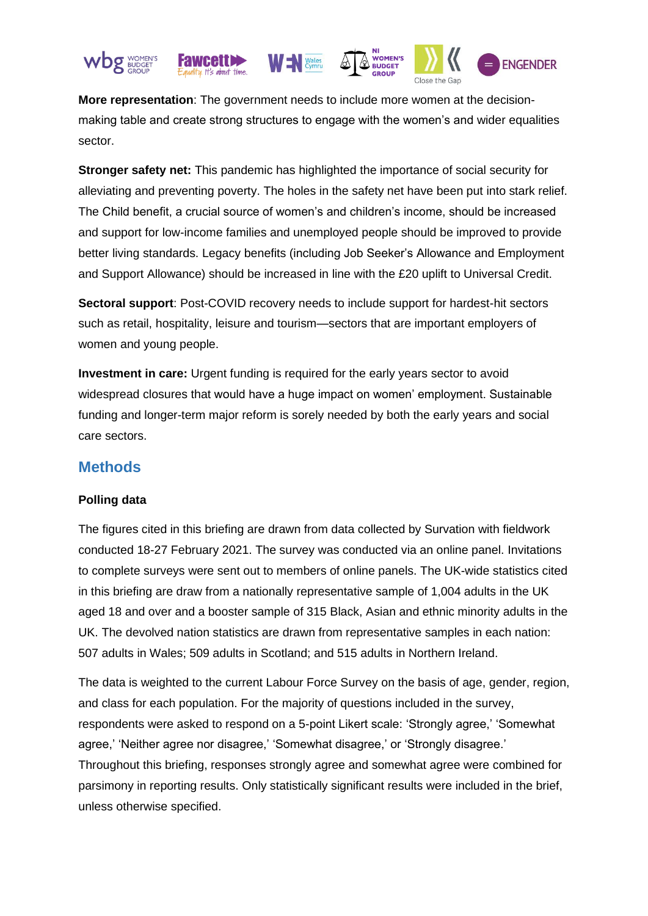

**More representation**: The government needs to include more women at the decisionmaking table and create strong structures to engage with the women's and wider equalities sector.

**Stronger safety net:** This pandemic has highlighted the importance of social security for alleviating and preventing poverty. The holes in the safety net have been put into stark relief. The Child benefit, a crucial source of women's and children's income, should be increased and support for low-income families and unemployed people should be improved to provide better living standards. Legacy benefits (including Job Seeker's Allowance and Employment and Support Allowance) should be increased in line with the £20 uplift to Universal Credit.

**Sectoral support**: Post-COVID recovery needs to include support for hardest-hit sectors such as retail, hospitality, leisure and tourism—sectors that are important employers of women and young people.

**Investment in care:** Urgent funding is required for the early years sector to avoid widespread closures that would have a huge impact on women' employment. Sustainable funding and longer-term major reform is sorely needed by both the early years and social care sectors.

## **Methods**

### **Polling data**

The figures cited in this briefing are drawn from data collected by Survation with fieldwork conducted 18-27 February 2021. The survey was conducted via an online panel. Invitations to complete surveys were sent out to members of online panels. The UK-wide statistics cited in this briefing are draw from a nationally representative sample of 1,004 adults in the UK aged 18 and over and a booster sample of 315 Black, Asian and ethnic minority adults in the UK. The devolved nation statistics are drawn from representative samples in each nation: 507 adults in Wales; 509 adults in Scotland; and 515 adults in Northern Ireland.

The data is weighted to the current Labour Force Survey on the basis of age, gender, region, and class for each population. For the majority of questions included in the survey, respondents were asked to respond on a 5-point Likert scale: 'Strongly agree,' 'Somewhat agree,' 'Neither agree nor disagree,' 'Somewhat disagree,' or 'Strongly disagree.' Throughout this briefing, responses strongly agree and somewhat agree were combined for parsimony in reporting results. Only statistically significant results were included in the brief, unless otherwise specified.